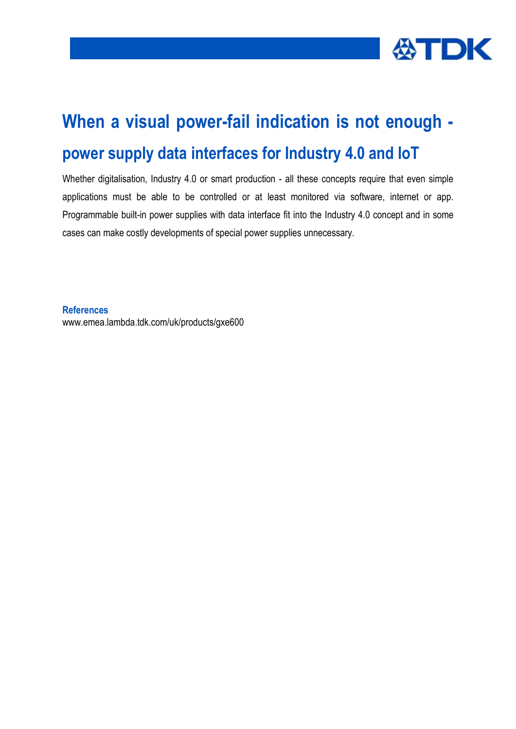

# **When a visual power-fail indication is not enough power supply data interfaces for Industry 4.0 and IoT**

Whether digitalisation, Industry 4.0 or smart production - all these concepts require that even simple applications must be able to be controlled or at least monitored via software, internet or app. Programmable built-in power supplies with data interface fit into the Industry 4.0 concept and in some cases can make costly developments of special power supplies unnecessary.

**References** www.emea.lambda.tdk.com/uk/products/gxe600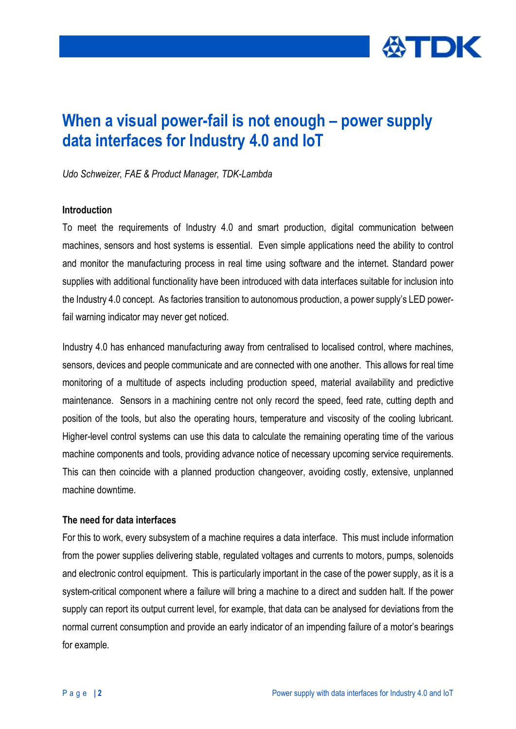

# **When a visual power-fail is not enough – power supply data interfaces for Industry 4.0 and IoT**

*Udo Schweizer, FAE & Product Manager, TDK-Lambda*

#### **Introduction**

To meet the requirements of Industry 4.0 and smart production, digital communication between machines, sensors and host systems is essential. Even simple applications need the ability to control and monitor the manufacturing process in real time using software and the internet. Standard power supplies with additional functionality have been introduced with data interfaces suitable for inclusion into the Industry 4.0 concept. As factories transition to autonomous production, a power supply's LED powerfail warning indicator may never get noticed.

Industry 4.0 has enhanced manufacturing away from centralised to localised control, where machines, sensors, devices and people communicate and are connected with one another. This allows for real time monitoring of a multitude of aspects including production speed, material availability and predictive maintenance. Sensors in a machining centre not only record the speed, feed rate, cutting depth and position of the tools, but also the operating hours, temperature and viscosity of the cooling lubricant. Higher-level control systems can use this data to calculate the remaining operating time of the various machine components and tools, providing advance notice of necessary upcoming service requirements. This can then coincide with a planned production changeover, avoiding costly, extensive, unplanned machine downtime.

#### **The need for data interfaces**

For this to work, every subsystem of a machine requires a data interface. This must include information from the power supplies delivering stable, regulated voltages and currents to motors, pumps, solenoids and electronic control equipment. This is particularly important in the case of the power supply, as it is a system-critical component where a failure will bring a machine to a direct and sudden halt. If the power supply can report its output current level, for example, that data can be analysed for deviations from the normal current consumption and provide an early indicator of an impending failure of a motor's bearings for example.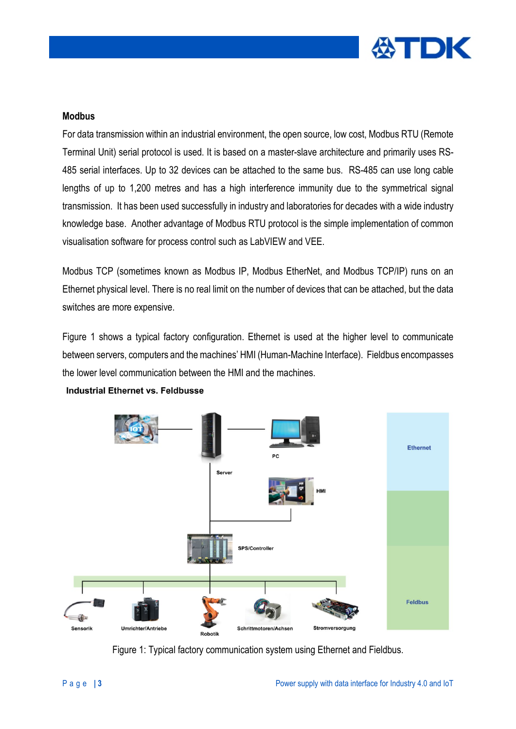

### **Modbus**

For data transmission within an industrial environment, the open source, low cost, Modbus RTU (Remote Terminal Unit) serial protocol is used. It is based on a master-slave architecture and primarily uses RS-485 serial interfaces. Up to 32 devices can be attached to the same bus. RS-485 can use long cable lengths of up to 1,200 metres and has a high interference immunity due to the symmetrical signal transmission. It has been used successfully in industry and laboratories for decades with a wide industry knowledge base. Another advantage of Modbus RTU protocol is the simple implementation of common visualisation software for process control such as LabVIEW and VEE.

Modbus TCP (sometimes known as Modbus IP, Modbus EtherNet, and Modbus TCP/IP) runs on an Ethernet physical level. There is no real limit on the number of devices that can be attached, but the data switches are more expensive.

Figure 1 shows a typical factory configuration. Ethernet is used at the higher level to communicate between servers, computers and the machines' HMI (Human-Machine Interface). Fieldbus encompasses the lower level communication between the HMI and the machines.



**Industrial Ethernet vs. Feldbusse** 

Figure 1: Typical factory communication system using Ethernet and Fieldbus.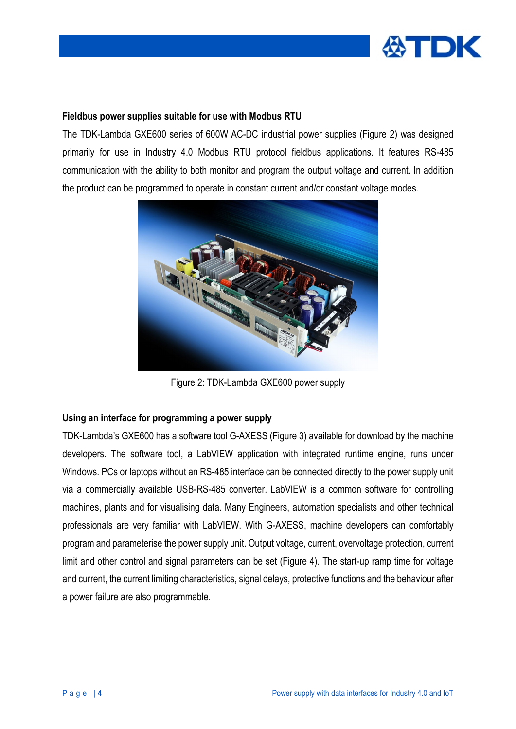

# **Fieldbus power supplies suitable for use with Modbus RTU**

The TDK-Lambda GXE600 series of 600W AC-DC industrial power supplies (Figure 2) was designed primarily for use in Industry 4.0 Modbus RTU protocol fieldbus applications. It features RS-485 communication with the ability to both monitor and program the output voltage and current. In addition the product can be programmed to operate in constant current and/or constant voltage modes.



Figure 2: TDK-Lambda GXE600 power supply

#### **Using an interface for programming a power supply**

TDK-Lambda's GXE600 has a software tool G-AXESS (Figure 3) available for download by the machine developers. The software tool, a LabVIEW application with integrated runtime engine, runs under Windows. PCs or laptops without an RS-485 interface can be connected directly to the power supply unit via a commercially available USB-RS-485 converter. LabVIEW is a common software for controlling machines, plants and for visualising data. Many Engineers, automation specialists and other technical professionals are very familiar with LabVIEW. With G-AXESS, machine developers can comfortably program and parameterise the power supply unit. Output voltage, current, overvoltage protection, current limit and other control and signal parameters can be set (Figure 4). The start-up ramp time for voltage and current, the current limiting characteristics, signal delays, protective functions and the behaviour after a power failure are also programmable.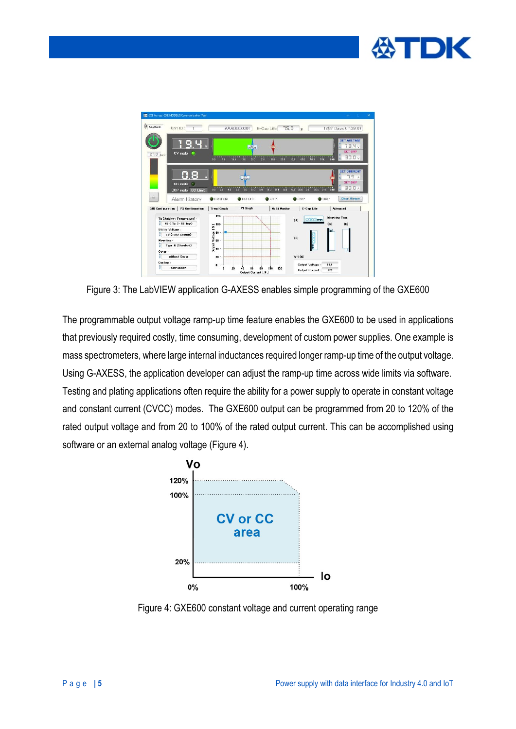



Figure 3: The LabVIEW application G-AXESS enables simple programming of the GXE600

The programmable output voltage ramp-up time feature enables the GXE600 to be used in applications that previously required costly, time consuming, development of custom power supplies. One example is mass spectrometers, where large internal inductances required longer ramp-up time of the output voltage. Using G-AXESS, the application developer can adjust the ramp-up time across wide limits via software. Testing and plating applications often require the ability for a power supply to operate in constant voltage and constant current (CVCC) modes. The GXE600 output can be programmed from 20 to 120% of the rated output voltage and from 20 to 100% of the rated output current. This can be accomplished using software or an external analog voltage (Figure 4).



Figure 4: GXE600 constant voltage and current operating range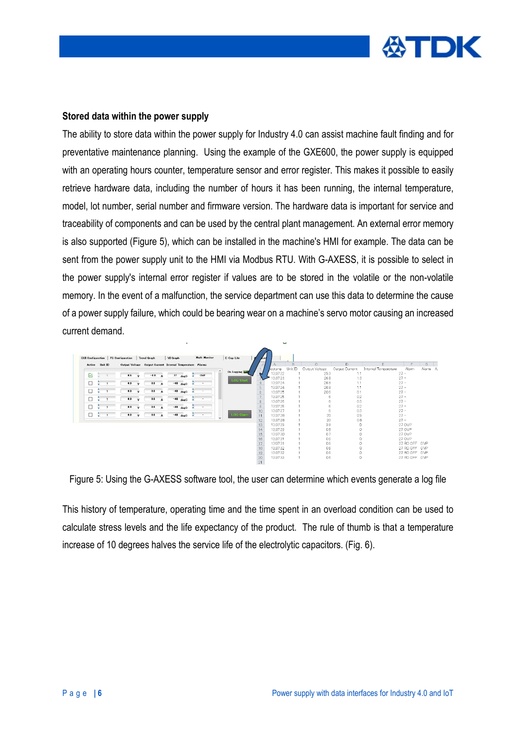

#### **Stored data within the power supply**

The ability to store data within the power supply for Industry 4.0 can assist machine fault finding and for preventative maintenance planning. Using the example of the GXE600, the power supply is equipped with an operating hours counter, temperature sensor and error register. This makes it possible to easily retrieve hardware data, including the number of hours it has been running, the internal temperature, model, lot number, serial number and firmware version. The hardware data is important for service and traceability of components and can be used by the central plant management. An external error memory is also supported (Figure 5), which can be installed in the machine's HMI for example. The data can be sent from the power supply unit to the HMI via Modbus RTU. With G-AXESS, it is possible to select in the power supply's internal error register if values are to be stored in the volatile or the non-volatile memory. In the event of a malfunction, the service department can use this data to determine the cause of a power supply failure, which could be bearing wear on a machine's servo motor causing an increased current demand.

| <b>QUI Configuration</b> |         | <b>PS Configuration</b> | Trend Greph                                               |          | VI Graph |                   |   | Multi Monitor | E-Cap Life                        |               |                      |         |                     |                |                      |                                |         |
|--------------------------|---------|-------------------------|-----------------------------------------------------------|----------|----------|-------------------|---|---------------|-----------------------------------|---------------|----------------------|---------|---------------------|----------------|----------------------|--------------------------------|---------|
| Active                   | Unit ID |                         | Output Voltage Output Current Internal Temperature Alarms |          |          |                   |   |               |                                   |               | a.                   | B       | Ĉ.                  | D.             | F                    | E                              | G.      |
|                          |         |                         |                                                           |          |          |                   |   |               | $\hat{\phantom{a}}$<br>On Logging |               | hestemp              | Unit ID | Output Voltage      | Output Current | Internal Temperature | Alarm                          | Alerm A |
| ☑                        |         | 0.5                     | $-0.0$                                                    | A        | 27       | $dec$             |   | OVP           |                                   |               | 13:37:22<br>13:37:23 |         | 253<br>26.8         | 1.1<br>1.3     |                      | $27 -$<br>$27 -$               |         |
|                          |         | 0.0                     | 0.0                                                       | $\Delta$ | $-40$    | $_{\text{des}}$ C |   |               | <b>LOG Start</b>                  |               | 13:37:24             |         | 268                 | 1.1            |                      | $27 -$                         |         |
|                          |         |                         |                                                           |          |          |                   |   |               |                                   | 5             | 13:37:24             |         | 26.8                | 1.1            |                      | $27 -$                         |         |
|                          |         | 0.0                     | 0.0                                                       | $\Delta$ |          | $-40$ degC        | v |               |                                   | $\frac{6}{7}$ | 13:37:25             |         | 20.6                | 0.1            |                      | $27 -$                         |         |
|                          |         | 0.0                     | 0.0                                                       |          | $-40$    | decC              |   |               |                                   |               | 13:37:25             |         | 6                   | 0.2            |                      | $27 -$                         |         |
| O                        |         |                         |                                                           |          |          |                   |   |               |                                   | $\frac{8}{9}$ | 13:37:26<br>1337.26  |         | 6<br>$\overline{6}$ | 0.3<br>0.2     |                      | $27 -$<br>$27 -$               |         |
|                          |         | 0.0                     | 0.0                                                       | A        | $-40$    | $dec$             | × | $\sim$        |                                   | $10\,$        | 13:37:27             |         | 6                   | 0.3            |                      | $27 -$                         |         |
|                          |         | 0.0                     | 0.0                                                       | $\Delta$ |          | $-40$ dogC        |   |               | LOG Open                          | 11            | 13:37:28             |         | 20                  | 0.9            |                      | $27 -$                         |         |
|                          |         |                         |                                                           |          |          |                   |   |               | $\ddot{}$                         | 12            | 13:37:28             |         | 20                  | 0.8            |                      | $27 -$                         |         |
|                          |         |                         |                                                           |          |          |                   |   |               |                                   | 13            | 13:37:29             |         | 38                  | Ö              |                      | 27 OVP                         |         |
|                          |         |                         |                                                           |          |          |                   |   |               |                                   | 14            | 13:37:29             |         | 0.8                 | o              |                      | 27 OVP                         |         |
|                          |         |                         |                                                           |          |          |                   |   |               |                                   | 15            | 13:37:30             |         | 0.7                 | Ō.             |                      | 27 OVP                         |         |
|                          |         |                         |                                                           |          |          |                   |   |               |                                   | 16            | 13:37:31             |         | 0.6                 | o<br>Ó         |                      | 27 OVP                         |         |
|                          |         |                         |                                                           |          |          |                   |   |               |                                   | 17<br>18      | 13:37:31<br>13,37.32 |         | 0.6<br>0.6          | 0              |                      | 27 RO OFF OVP<br>27 RG OFF OVP |         |
|                          |         |                         |                                                           |          |          |                   |   |               |                                   | 19            | 13:37:32             |         | 0.6                 | $\Omega$       |                      | 27 RO OFF OVP                  |         |
|                          |         |                         |                                                           |          |          |                   |   |               |                                   | 20            | 13:37:33             |         | 0.6                 | $\Omega$       |                      | 27 RG OFF OVP                  |         |

Figure 5: Using the G-AXESS software tool, the user can determine which events generate a log file

This history of temperature, operating time and the time spent in an overload condition can be used to calculate stress levels and the life expectancy of the product. The rule of thumb is that a temperature increase of 10 degrees halves the service life of the electrolytic capacitors. (Fig. 6).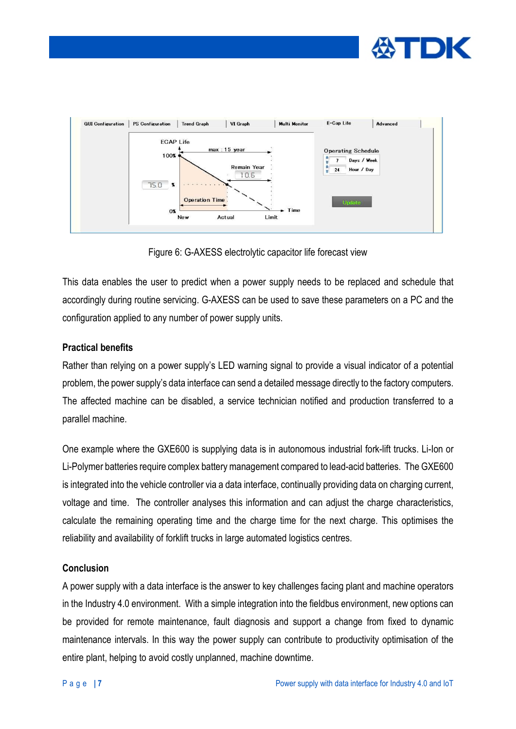



Figure 6: G-AXESS electrolytic capacitor life forecast view

This data enables the user to predict when a power supply needs to be replaced and schedule that accordingly during routine servicing. G-AXESS can be used to save these parameters on a PC and the configuration applied to any number of power supply units.

# **Practical benefits**

Rather than relying on a power supply's LED warning signal to provide a visual indicator of a potential problem, the power supply's data interface can send a detailed message directly to the factory computers. The affected machine can be disabled, a service technician notified and production transferred to a parallel machine.

One example where the GXE600 is supplying data is in autonomous industrial fork-lift trucks. Li-Ion or Li-Polymer batteries require complex battery management compared to lead-acid batteries. The GXE600 is integrated into the vehicle controller via a data interface, continually providing data on charging current, voltage and time. The controller analyses this information and can adjust the charge characteristics, calculate the remaining operating time and the charge time for the next charge. This optimises the reliability and availability of forklift trucks in large automated logistics centres.

# **Conclusion**

A power supply with a data interface is the answer to key challenges facing plant and machine operators in the Industry 4.0 environment. With a simple integration into the fieldbus environment, new options can be provided for remote maintenance, fault diagnosis and support a change from fixed to dynamic maintenance intervals. In this way the power supply can contribute to productivity optimisation of the entire plant, helping to avoid costly unplanned, machine downtime.